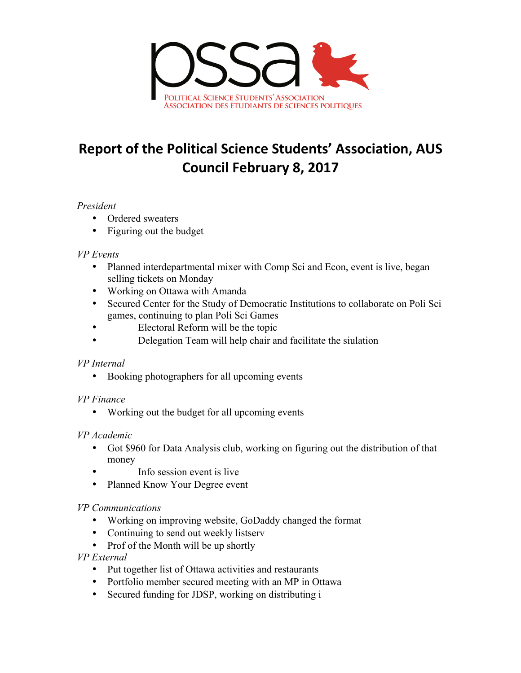

# **Report of the Political Science Students' Association, AUS Council February 8, 2017**

#### *President*

- Ordered sweaters
- Figuring out the budget

#### *VP Events*

- Planned interdepartmental mixer with Comp Sci and Econ, event is live, began selling tickets on Monday
- Working on Ottawa with Amanda
- Secured Center for the Study of Democratic Institutions to collaborate on Poli Sci games, continuing to plan Poli Sci Games
- Electoral Reform will be the topic
- Delegation Team will help chair and facilitate the siulation

### *VP Internal*

• Booking photographers for all upcoming events

### *VP Finance*

• Working out the budget for all upcoming events

### *VP Academic*

- Got \$960 for Data Analysis club, working on figuring out the distribution of that money
- Info session event is live
- Planned Know Your Degree event

### *VP Communications*

- Working on improving website, GoDaddy changed the format
- Continuing to send out weekly listserv
- Prof of the Month will be up shortly

## *VP External*

- Put together list of Ottawa activities and restaurants
- Portfolio member secured meeting with an MP in Ottawa
- Secured funding for JDSP, working on distributing i